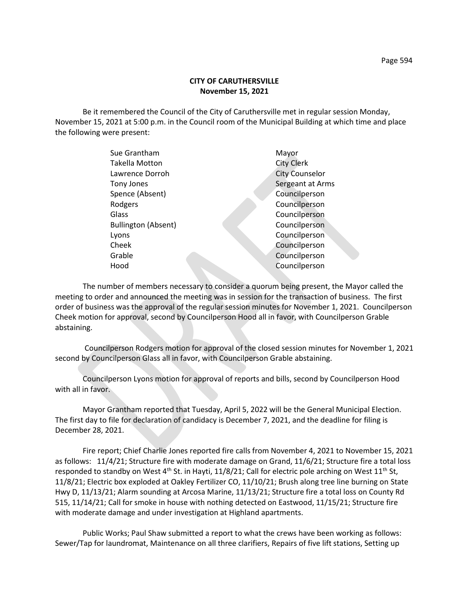Be it remembered the Council of the City of Caruthersville met in regular session Monday, November 15, 2021 at 5:00 p.m. in the Council room of the Municipal Building at which time and place the following were present:

| Sue Grantham               | Mayor                 |
|----------------------------|-----------------------|
| <b>Takella Motton</b>      | <b>City Clerk</b>     |
| Lawrence Dorroh            | <b>City Counselor</b> |
| Tony Jones                 | Sergeant at Arms      |
| Spence (Absent)            | Councilperson         |
| Rodgers                    | Councilperson         |
| Glass                      | Councilperson         |
| <b>Bullington (Absent)</b> | Councilperson         |
| Lyons                      | Councilperson         |
| Cheek                      | Councilperson         |
| Grable                     | Councilperson         |
| Hood                       | Councilperson         |
|                            |                       |

The number of members necessary to consider a quorum being present, the Mayor called the meeting to order and announced the meeting was in session for the transaction of business. The first order of business was the approval of the regular session minutes for November 1, 2021. Councilperson Cheek motion for approval, second by Councilperson Hood all in favor, with Councilperson Grable abstaining.

Councilperson Rodgers motion for approval of the closed session minutes for November 1, 2021 second by Councilperson Glass all in favor, with Councilperson Grable abstaining.

Councilperson Lyons motion for approval of reports and bills, second by Councilperson Hood with all in favor.

Mayor Grantham reported that Tuesday, April 5, 2022 will be the General Municipal Election. The first day to file for declaration of candidacy is December 7, 2021, and the deadline for filing is December 28, 2021.

Fire report; Chief Charlie Jones reported fire calls from November 4, 2021 to November 15, 2021 as follows: 11/4/21; Structure fire with moderate damage on Grand, 11/6/21; Structure fire a total loss responded to standby on West 4<sup>th</sup> St. in Hayti, 11/8/21; Call for electric pole arching on West 11<sup>th</sup> St, 11/8/21; Electric box exploded at Oakley Fertilizer CO, 11/10/21; Brush along tree line burning on State Hwy D, 11/13/21; Alarm sounding at Arcosa Marine, 11/13/21; Structure fire a total loss on County Rd 515, 11/14/21; Call for smoke in house with nothing detected on Eastwood, 11/15/21; Structure fire with moderate damage and under investigation at Highland apartments.

Public Works; Paul Shaw submitted a report to what the crews have been working as follows: Sewer/Tap for laundromat, Maintenance on all three clarifiers, Repairs of five lift stations, Setting up